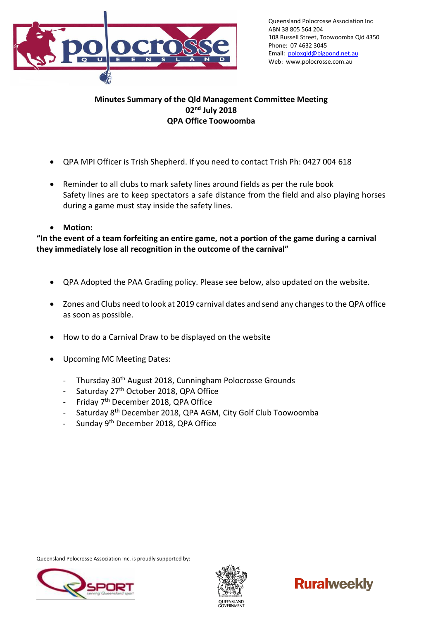

## **Minutes Summary of the Qld Management Committee Meeting 02nd July 2018 QPA Office Toowoomba**

- QPA MPI Officer is Trish Shepherd. If you need to contact Trish Ph: 0427 004 618
- Reminder to all clubs to mark safety lines around fields as per the rule book Safety lines are to keep spectators a safe distance from the field and also playing horses during a game must stay inside the safety lines.
- **Motion:**

**"In the event of a team forfeiting an entire game, not a portion of the game during a carnival they immediately lose all recognition in the outcome of the carnival"**

- QPA Adopted the PAA Grading policy. Please see below, also updated on the website.
- Zones and Clubs need to look at 2019 carnival dates and send any changes to the QPA office as soon as possible.
- How to do a Carnival Draw to be displayed on the website
- Upcoming MC Meeting Dates:
	- Thursday 30<sup>th</sup> August 2018, Cunningham Polocrosse Grounds
	- Saturday 27<sup>th</sup> October 2018, QPA Office
	- Friday 7<sup>th</sup> December 2018, QPA Office
	- Saturday 8<sup>th</sup> December 2018, QPA AGM, City Golf Club Toowoomba
	- Sunday 9<sup>th</sup> December 2018, QPA Office

Queensland Polocrosse Association Inc. is proudly supported by:





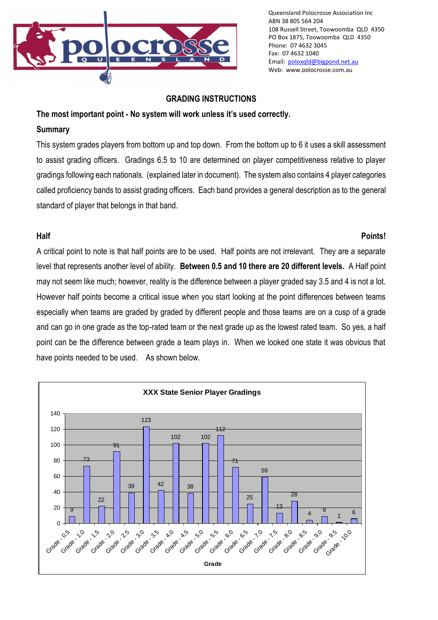

#### **GRADING INSTRUCTIONS**

#### **The most important point - No system will work unless it's used correctly.**

#### **Summary**

This system grades players from bottom up and top down. From the bottom up to 6 it uses a skill assessment to assist grading officers. Gradings 6.5 to 10 are determined on player competitiveness relative to player gradings following each nationals. (explained later in document). The system also contains 4 player categories called proficiency bands to assist grading officers. Each band provides a general description as to the general standard of player that belongs in that band.

#### **Half Points!**

A critical point to note is that half points are to be used. Half points are not irrelevant. They are a separate level that represents another level of ability. **Between 0.5 and 10 there are 20 different levels.** A Half point may not seem like much; however, reality is the difference between a player graded say 3.5 and 4 is not a lot. However half points become a critical issue when you start looking at the point differences between teams especially when teams are graded by graded by different people and those teams are on a cusp of a grade and can go in one grade as the top-rated team or the next grade up as the lowest rated team. So yes, a half point can be the difference between grade a team plays in. When we looked one state it was obvious that have points needed to be used. As shown below.

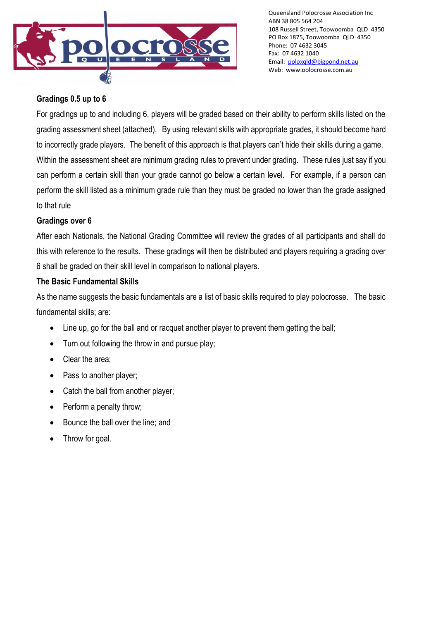

# **Gradings 0.5 up to 6**

For gradings up to and including 6, players will be graded based on their ability to perform skills listed on the grading assessment sheet (attached). By using relevant skills with appropriate grades, it should become hard to incorrectly grade players. The benefit of this approach is that players can't hide their skills during a game. Within the assessment sheet are minimum grading rules to prevent under grading. These rules just say if you can perform a certain skill than your grade cannot go below a certain level. For example, if a person can perform the skill listed as a minimum grade rule than they must be graded no lower than the grade assigned to that rule

# **Gradings over 6**

After each Nationals, the National Grading Committee will review the grades of all participants and shall do this with reference to the results. These gradings will then be distributed and players requiring a grading over 6 shall be graded on their skill level in comparison to national players.

# **The Basic Fundamental Skills**

As the name suggests the basic fundamentals are a list of basic skills required to play polocrosse. The basic fundamental skills; are:

- Line up, go for the ball and or racquet another player to prevent them getting the ball;
- Turn out following the throw in and pursue play;
- Clear the area;
- Pass to another player;
- Catch the ball from another player;
- Perform a penalty throw;
- Bounce the ball over the line; and
- Throw for goal.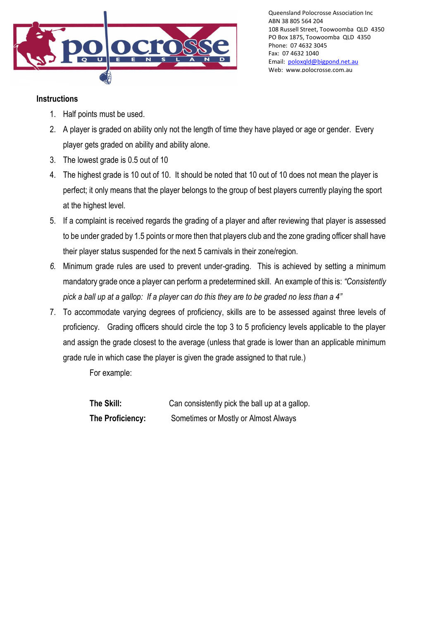

### **Instructions**

- 1. Half points must be used.
- 2. A player is graded on ability only not the length of time they have played or age or gender. Every player gets graded on ability and ability alone.
- 3. The lowest grade is 0.5 out of 10
- 4. The highest grade is 10 out of 10. It should be noted that 10 out of 10 does not mean the player is perfect; it only means that the player belongs to the group of best players currently playing the sport at the highest level.
- 5. If a complaint is received regards the grading of a player and after reviewing that player is assessed to be under graded by 1.5 points or more then that players club and the zone grading officer shall have their player status suspended for the next 5 carnivals in their zone/region.
- *6.* Minimum grade rules are used to prevent under-grading. This is achieved by setting a minimum mandatory grade once a player can perform a predetermined skill. An example of this is: *"Consistently pick a ball up at a gallop: If a player can do this they are to be graded no less than a 4"*
- 7. To accommodate varying degrees of proficiency, skills are to be assessed against three levels of proficiency. Grading officers should circle the top 3 to 5 proficiency levels applicable to the player and assign the grade closest to the average (unless that grade is lower than an applicable minimum grade rule in which case the player is given the grade assigned to that rule.)

For example:

| The Skill:       | Can consistently pick the ball up at a gallop. |
|------------------|------------------------------------------------|
| The Proficiency: | Sometimes or Mostly or Almost Always           |